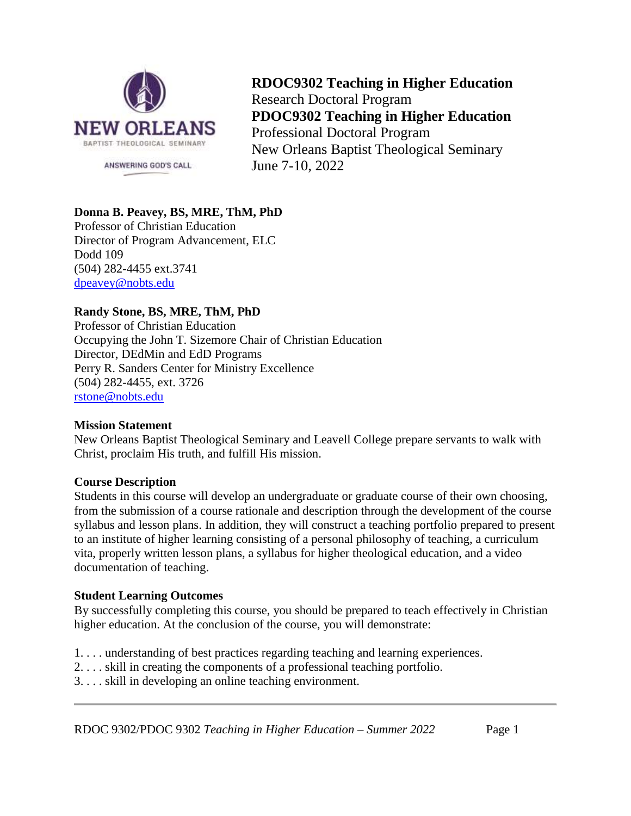

**RDOC9302 Teaching in Higher Education** Research Doctoral Program **PDOC9302 Teaching in Higher Education** Professional Doctoral Program New Orleans Baptist Theological Seminary June 7-10, 2022

# **Donna B. Peavey, BS, MRE, ThM, PhD**

Professor of Christian Education Director of Program Advancement, ELC Dodd 109 (504) 282-4455 ext.3741 [dpeavey@nobts.edu](mailto:dpeavey@nobts.edu)

# **Randy Stone, BS, MRE, ThM, PhD**

Professor of Christian Education Occupying the John T. Sizemore Chair of Christian Education Director, DEdMin and EdD Programs Perry R. Sanders Center for Ministry Excellence (504) 282-4455, ext. 3726 [rstone@nobts.edu](mailto:rstone@nobts.edu)

### **Mission Statement**

New Orleans Baptist Theological Seminary and Leavell College prepare servants to walk with Christ, proclaim His truth, and fulfill His mission.

# **Course Description**

Students in this course will develop an undergraduate or graduate course of their own choosing, from the submission of a course rationale and description through the development of the course syllabus and lesson plans. In addition, they will construct a teaching portfolio prepared to present to an institute of higher learning consisting of a personal philosophy of teaching, a curriculum vita, properly written lesson plans, a syllabus for higher theological education, and a video documentation of teaching.

### **Student Learning Outcomes**

By successfully completing this course, you should be prepared to teach effectively in Christian higher education. At the conclusion of the course, you will demonstrate:

- 1. . . . understanding of best practices regarding teaching and learning experiences.
- 2. . . . skill in creating the components of a professional teaching portfolio.
- 3. . . . skill in developing an online teaching environment.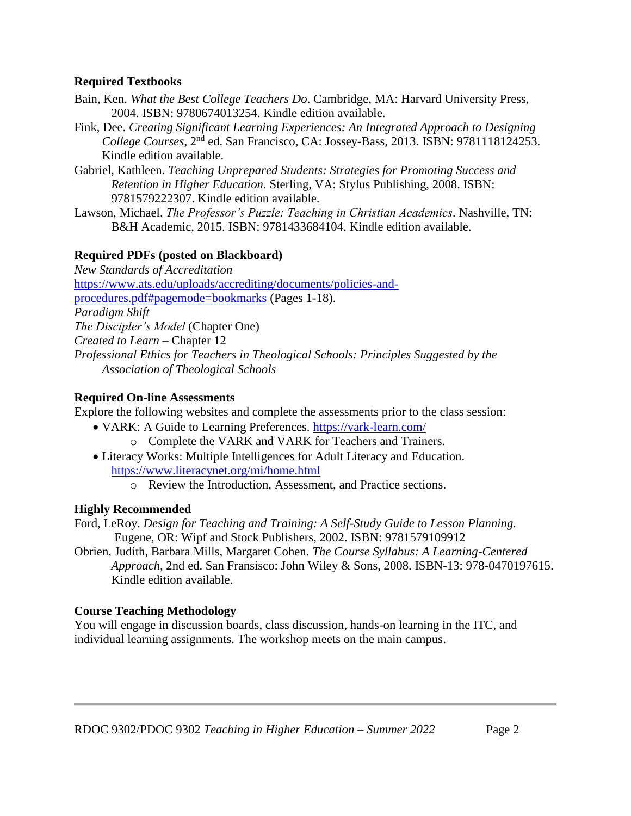# **Required Textbooks**

- Bain, Ken. *What the Best College Teachers Do*. Cambridge, MA: Harvard University Press, 2004. ISBN: 9780674013254. Kindle edition available.
- Fink, Dee. *Creating Significant Learning Experiences: An Integrated Approach to Designing College Courses*, 2nd ed. San Francisco, CA: Jossey-Bass, 2013. ISBN: 9781118124253. Kindle edition available.
- Gabriel, Kathleen. *Teaching Unprepared Students: Strategies for Promoting Success and Retention in Higher Education.* Sterling, VA: Stylus Publishing, 2008. ISBN: 9781579222307. Kindle edition available.
- Lawson, Michael. *The Professor's Puzzle: Teaching in Christian Academics*. Nashville, TN: B&H Academic, 2015. ISBN: 9781433684104. Kindle edition available.

# **Required PDFs (posted on Blackboard)**

*New Standards of Accreditation* [https://www.ats.edu/uploads/accrediting/documents/policies-and](https://www.ats.edu/uploads/accrediting/documents/policies-and-procedures.pdf#pagemode=bookmarks)[procedures.pdf#pagemode=bookmarks](https://www.ats.edu/uploads/accrediting/documents/policies-and-procedures.pdf#pagemode=bookmarks) (Pages 1-18). *Paradigm Shift The Discipler's Model* (Chapter One) *Created to Learn* – Chapter 12 *Professional Ethics for Teachers in Theological Schools: Principles Suggested by the Association of Theological Schools*

# **Required On-line Assessments**

Explore the following websites and complete the assessments prior to the class session:

- VARK: A Guide to Learning Preferences.<https://vark-learn.com/> o Complete the VARK and VARK for Teachers and Trainers.
- Literacy Works: Multiple Intelligences for Adult Literacy and Education. <https://www.literacynet.org/mi/home.html>
	- o Review the Introduction, Assessment, and Practice sections.

# **Highly Recommended**

Ford, LeRoy. *Design for Teaching and Training: A Self-Study Guide to Lesson Planning.* Eugene, OR: Wipf and Stock Publishers, 2002. ISBN: 9781579109912

Obrien, Judith, Barbara Mills, Margaret Cohen. *The Course Syllabus: A Learning-Centered Approach,* 2nd ed. San Fransisco: John Wiley & Sons, 2008. ISBN-13: 978-0470197615. Kindle edition available.

# **Course Teaching Methodology**

You will engage in discussion boards, class discussion, hands-on learning in the ITC, and individual learning assignments. The workshop meets on the main campus.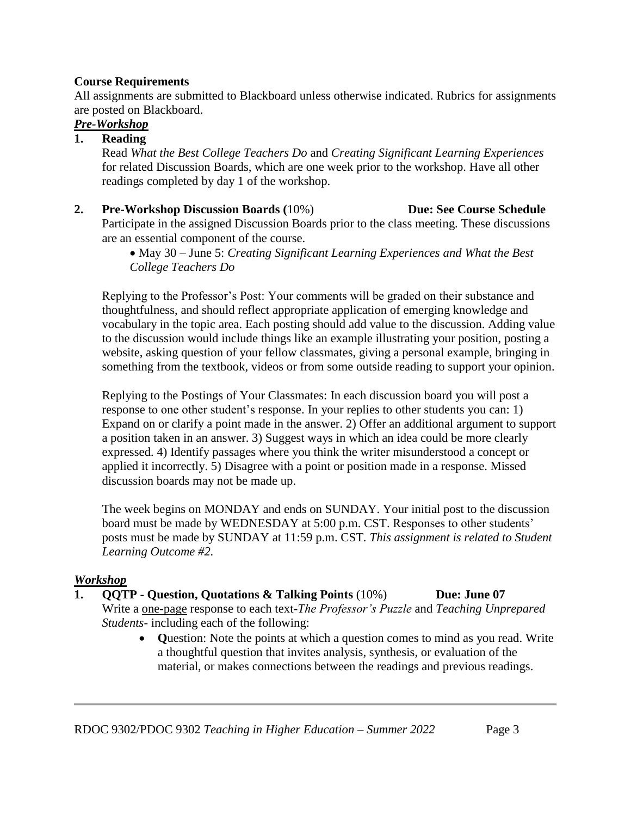### **Course Requirements**

All assignments are submitted to Blackboard unless otherwise indicated. Rubrics for assignments are posted on Blackboard.

# *Pre-Workshop*

# **1. Reading**

Read *What the Best College Teachers Do* and *Creating Significant Learning Experiences* for related Discussion Boards, which are one week prior to the workshop. Have all other readings completed by day 1 of the workshop.

**2. Pre-Workshop Discussion Boards (**10%) **Due: See Course Schedule** Participate in the assigned Discussion Boards prior to the class meeting. These discussions are an essential component of the course.

> • May 30 – June 5: *Creating Significant Learning Experiences and What the Best College Teachers Do*

Replying to the Professor's Post: Your comments will be graded on their substance and thoughtfulness, and should reflect appropriate application of emerging knowledge and vocabulary in the topic area. Each posting should add value to the discussion. Adding value to the discussion would include things like an example illustrating your position, posting a website, asking question of your fellow classmates, giving a personal example, bringing in something from the textbook, videos or from some outside reading to support your opinion.

Replying to the Postings of Your Classmates: In each discussion board you will post a response to one other student's response. In your replies to other students you can: 1) Expand on or clarify a point made in the answer. 2) Offer an additional argument to support a position taken in an answer. 3) Suggest ways in which an idea could be more clearly expressed. 4) Identify passages where you think the writer misunderstood a concept or applied it incorrectly. 5) Disagree with a point or position made in a response. Missed discussion boards may not be made up.

The week begins on MONDAY and ends on SUNDAY. Your initial post to the discussion board must be made by WEDNESDAY at 5:00 p.m. CST. Responses to other students' posts must be made by SUNDAY at 11:59 p.m. CST*. This assignment is related to Student Learning Outcome #2.*

# *Workshop*

- **1. QQTP - Question, Quotations & Talking Points** (10%) **Due: June 07** Write a one-page response to each text-*The Professor's Puzzle* and *Teaching Unprepared* 
	- *Students-* including each of the following:
		- **Q**uestion: Note the points at which a question comes to mind as you read. Write a thoughtful question that invites analysis, synthesis, or evaluation of the material, or makes connections between the readings and previous readings.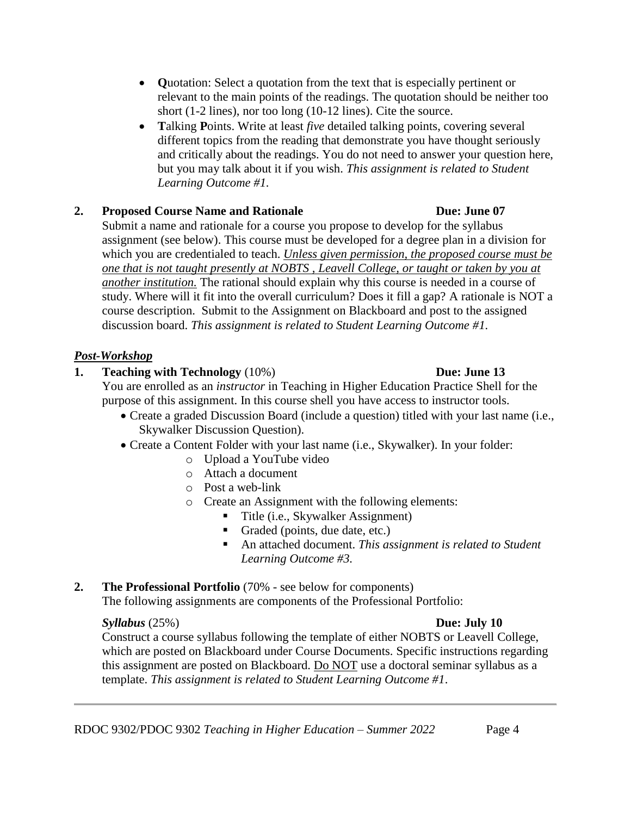- **Q**uotation: Select a quotation from the text that is especially pertinent or relevant to the main points of the readings. The quotation should be neither too short (1-2 lines), nor too long (10-12 lines). Cite the source.
- **T**alking **P**oints. Write at least *five* detailed talking points, covering several different topics from the reading that demonstrate you have thought seriously and critically about the readings. You do not need to answer your question here, but you may talk about it if you wish. *This assignment is related to Student Learning Outcome #1.*

# **2. Proposed Course Name and Rationale Due: June 07**

Submit a name and rationale for a course you propose to develop for the syllabus assignment (see below). This course must be developed for a degree plan in a division for which you are credentialed to teach. *Unless given permission, the proposed course must be one that is not taught presently at NOBTS , Leavell College, or taught or taken by you at another institution.* The rational should explain why this course is needed in a course of study. Where will it fit into the overall curriculum? Does it fill a gap? A rationale is NOT a course description. Submit to the Assignment on Blackboard and post to the assigned discussion board. *This assignment is related to Student Learning Outcome #1.*

# *Post-Workshop*

# **1. Teaching with Technology** (10%) **Due: June 13**

You are enrolled as an *instructor* in Teaching in Higher Education Practice Shell for the purpose of this assignment. In this course shell you have access to instructor tools.

- Create a graded Discussion Board (include a question) titled with your last name (i.e., Skywalker Discussion Question).
- Create a Content Folder with your last name (i.e., Skywalker). In your folder:
	- o Upload a YouTube video
	- o Attach a document
	- o Post a web-link
	- o Create an Assignment with the following elements:
		- Title (i.e., Skywalker Assignment)
		- Graded (points, due date, etc.)
		- An attached document. *This assignment is related to Student Learning Outcome #3.*
- **2. The Professional Portfolio** (70% see below for components) The following assignments are components of the Professional Portfolio:

# *Syllabus* (25%) **Due: July 10**

Construct a course syllabus following the template of either NOBTS or Leavell College, which are posted on Blackboard under Course Documents. Specific instructions regarding this assignment are posted on Blackboard. Do NOT use a doctoral seminar syllabus as a template. *This assignment is related to Student Learning Outcome #1*.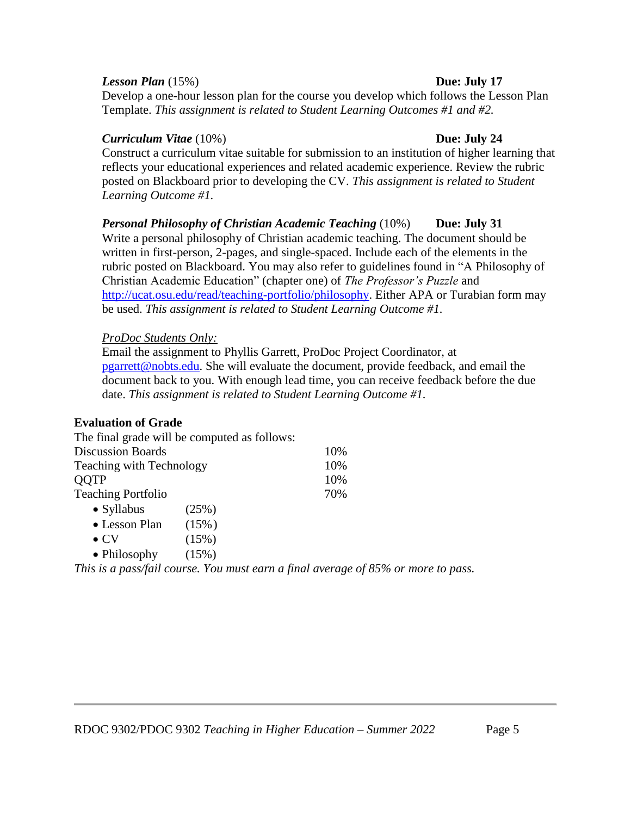### *Lesson Plan* (15%) **Due: July 17**

Develop a one-hour lesson plan for the course you develop which follows the Lesson Plan Template. *This assignment is related to Student Learning Outcomes #1 and #2.*

### *Curriculum Vitae* (10%) **Due: July 24**

Construct a curriculum vitae suitable for submission to an institution of higher learning that reflects your educational experiences and related academic experience. Review the rubric posted on Blackboard prior to developing the CV. *This assignment is related to Student Learning Outcome #1.*

*Personal Philosophy of Christian Academic Teaching* (10%) **Due: July 31** Write a personal philosophy of Christian academic teaching. The document should be written in first-person, 2-pages, and single-spaced. Include each of the elements in the rubric posted on Blackboard. You may also refer to guidelines found in "A Philosophy of Christian Academic Education" (chapter one) of *The Professor's Puzzle* and [http://ucat.osu.edu/read/teaching-portfolio/philosophy.](http://ucat.osu.edu/read/teaching-portfolio/philosophy) Either APA or Turabian form may be used. *This assignment is related to Student Learning Outcome #1.*

### *ProDoc Students Only:*

Email the assignment to Phyllis Garrett, ProDoc Project Coordinator, at [pgarrett@nobts.edu.](mailto:pgarrett@nobts.edu) She will evaluate the document, provide feedback, and email the document back to you. With enough lead time, you can receive feedback before the due date. *This assignment is related to Student Learning Outcome #1.*

# **Evaluation of Grade**

|                                 | The final grade will be computed as follows: |                                                                                   |
|---------------------------------|----------------------------------------------|-----------------------------------------------------------------------------------|
| <b>Discussion Boards</b>        |                                              | 10%                                                                               |
| <b>Teaching with Technology</b> |                                              | 10%                                                                               |
| QQTP                            |                                              | 10%                                                                               |
| <b>Teaching Portfolio</b>       |                                              | 70%                                                                               |
| $\bullet$ Syllabus              | (25%)                                        |                                                                                   |
| • Lesson Plan                   | (15%)                                        |                                                                                   |
| $\bullet$ CV                    | (15%)                                        |                                                                                   |
| • Philosophy                    | (15%)                                        |                                                                                   |
|                                 |                                              | This is a pass/fail course. You must earn a final average of 85% or more to pass. |

# RDOC 9302/PDOC 9302 *Teaching in Higher Education – Summer 2022* Page 5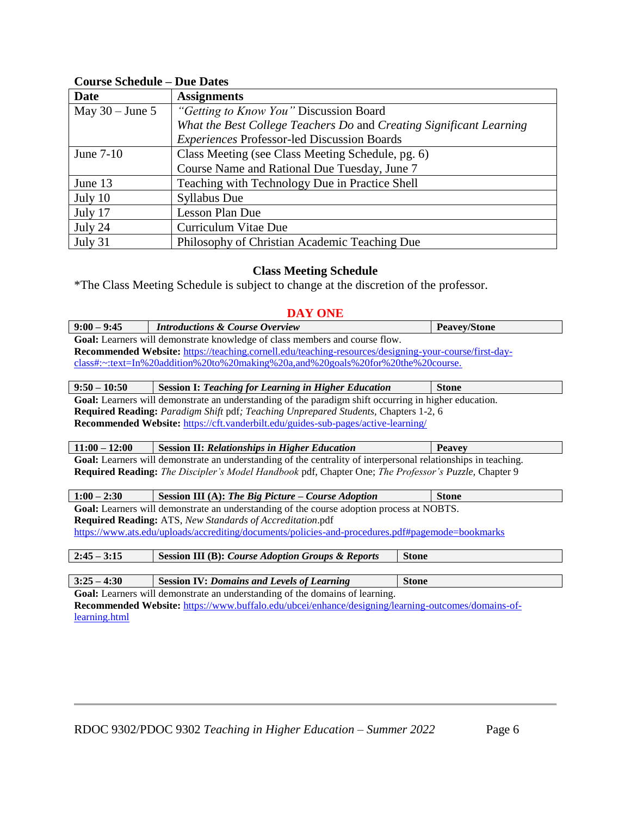# **Course Schedule – Due Dates**

| <b>Date</b>       | <b>Assignments</b>                                                  |
|-------------------|---------------------------------------------------------------------|
| May $30 -$ June 5 | "Getting to Know You" Discussion Board                              |
|                   | What the Best College Teachers Do and Creating Significant Learning |
|                   | <b>Experiences Professor-led Discussion Boards</b>                  |
| June $7-10$       | Class Meeting (see Class Meeting Schedule, pg. 6)                   |
|                   | Course Name and Rational Due Tuesday, June 7                        |
| June 13           | Teaching with Technology Due in Practice Shell                      |
| July 10           | <b>Syllabus Due</b>                                                 |
| July 17           | Lesson Plan Due                                                     |
| July 24           | Curriculum Vitae Due                                                |
| July 31           | Philosophy of Christian Academic Teaching Due                       |

# **Class Meeting Schedule**

\*The Class Meeting Schedule is subject to change at the discretion of the professor.

# **DAY ONE**

| $9:00 - 9:45$                                                                                      | <b>Introductions &amp; Course Overview</b>                                                                                                                 | <b>Peavey/Stone</b> |
|----------------------------------------------------------------------------------------------------|------------------------------------------------------------------------------------------------------------------------------------------------------------|---------------------|
|                                                                                                    | Goal: Learners will demonstrate knowledge of class members and course flow.                                                                                |                     |
|                                                                                                    | Recommended Website: https://teaching.cornell.edu/teaching-resources/designing-your-course/first-day-                                                      |                     |
|                                                                                                    | $\frac{class\text{#:~:} \text{text=In%20} addition\% 20 to\% 20 making\% 20a, and\% 20 goals\% 20 for\% 20 the\% 20 course.}{\text{text=the%20} width:}\\$ |                     |
|                                                                                                    |                                                                                                                                                            |                     |
| $9:50 - 10:50$                                                                                     | <b>Session I: Teaching for Learning in Higher Education</b>                                                                                                | <b>Stone</b>        |
|                                                                                                    | Goal: Learners will demonstrate an understanding of the paradigm shift occurring in higher education.                                                      |                     |
|                                                                                                    | <b>Required Reading:</b> Paradigm Shift pdf; Teaching Unprepared Students, Chapters 1-2, 6                                                                 |                     |
|                                                                                                    | Recommended Website: https://cft.vanderbilt.edu/guides-sub-pages/active-learning/                                                                          |                     |
|                                                                                                    |                                                                                                                                                            |                     |
| $11:00 - 12:00$                                                                                    | <b>Session II: Relationships in Higher Education</b>                                                                                                       | <b>Peavey</b>       |
|                                                                                                    | Goal: Learners will demonstrate an understanding of the centrality of interpersonal relationships in teaching.                                             |                     |
|                                                                                                    | Required Reading: The Discipler's Model Handbook pdf, Chapter One; The Professor's Puzzle, Chapter 9                                                       |                     |
|                                                                                                    |                                                                                                                                                            |                     |
| $1:00 - 2:30$                                                                                      | Session III (A): The Big Picture – Course Adoption                                                                                                         | <b>Stone</b>        |
| Goal: Learners will demonstrate an understanding of the course adoption process at NOBTS.          |                                                                                                                                                            |                     |
| Required Reading: ATS, New Standards of Accreditation.pdf                                          |                                                                                                                                                            |                     |
| https://www.ats.edu/uploads/accrediting/documents/policies-and-procedures.pdf#pagemode=bookmarks   |                                                                                                                                                            |                     |
|                                                                                                    |                                                                                                                                                            |                     |
| $2:45 - 3:15$                                                                                      | <b>Session III (B): Course Adoption Groups &amp; Reports</b>                                                                                               | <b>Stone</b>        |
|                                                                                                    |                                                                                                                                                            |                     |
| $3:25 - 4:30$                                                                                      | <b>Session IV: Domains and Levels of Learning</b>                                                                                                          | <b>Stone</b>        |
| Goal: Learners will demonstrate an understanding of the domains of learning.                       |                                                                                                                                                            |                     |
| Recommended Website: https://www.buffalo.edu/ubcei/enhance/designing/learning-outcomes/domains-of- |                                                                                                                                                            |                     |

[learning.html](https://www.buffalo.edu/ubcei/enhance/designing/learning-outcomes/domains-of-learning.html)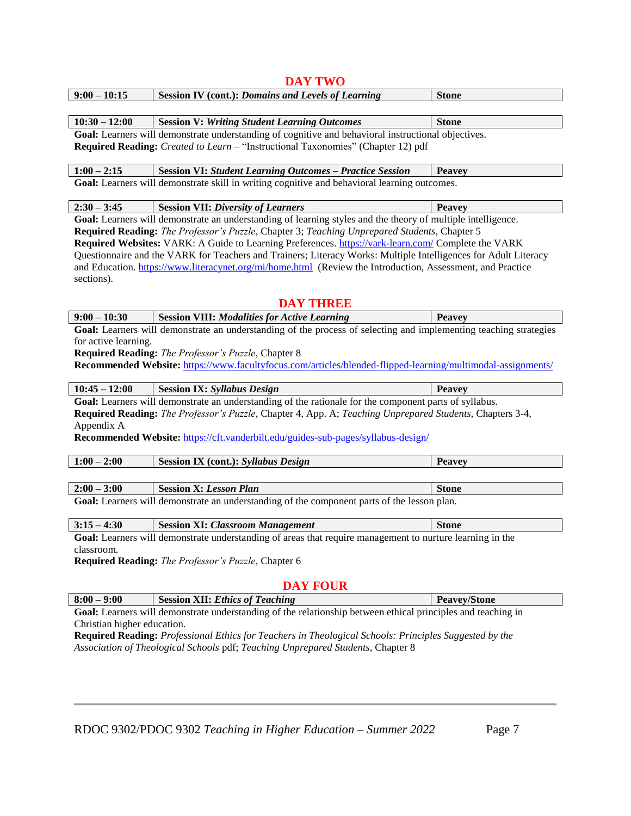| $10:30 - 12:00$                                     | <b>Session V: Writing Student Learning Outcomes</b>                                                               | <b>Stone</b>        |
|-----------------------------------------------------|-------------------------------------------------------------------------------------------------------------------|---------------------|
|                                                     | Goal: Learners will demonstrate understanding of cognitive and behavioral instructional objectives.               |                     |
|                                                     | Required Reading: Created to Learn - "Instructional Taxonomies" (Chapter 12) pdf                                  |                     |
| $1:00 - 2:15$                                       | <b>Session VI: Student Learning Outcomes - Practice Session</b>                                                   | <b>Peavey</b>       |
|                                                     | Goal: Learners will demonstrate skill in writing cognitive and behavioral learning outcomes.                      |                     |
| $2:30 - 3:45$                                       | <b>Session VII: Diversity of Learners</b>                                                                         | <b>Peavey</b>       |
|                                                     | Goal: Learners will demonstrate an understanding of learning styles and the theory of multiple intelligence.      |                     |
|                                                     | Required Reading: The Professor's Puzzle, Chapter 3; Teaching Unprepared Students, Chapter 5                      |                     |
|                                                     | Required Websites: VARK: A Guide to Learning Preferences. https://vark-learn.com/ Complete the VARK               |                     |
|                                                     | Questionnaire and the VARK for Teachers and Trainers; Literacy Works: Multiple Intelligences for Adult Literacy   |                     |
|                                                     | and Education. https://www.literacynet.org/mi/home.html (Review the Introduction, Assessment, and Practice        |                     |
| sections).                                          |                                                                                                                   |                     |
|                                                     |                                                                                                                   |                     |
|                                                     | <b>DAY THREE</b>                                                                                                  |                     |
| $9:00 - 10:30$                                      | <b>Session VIII: Modalities for Active Learning</b>                                                               | <b>Peavey</b>       |
|                                                     | Goal: Learners will demonstrate an understanding of the process of selecting and implementing teaching strategies |                     |
| for active learning.                                |                                                                                                                   |                     |
|                                                     | Required Reading: The Professor's Puzzle, Chapter 8                                                               |                     |
|                                                     | Recommended Website: https://www.facultyfocus.com/articles/blended-flipped-learning/multimodal-assignments/       |                     |
|                                                     |                                                                                                                   |                     |
| $10:45 - 12:00$                                     | <b>Session IX: Syllabus Design</b>                                                                                | <b>Peavey</b>       |
|                                                     | Goal: Learners will demonstrate an understanding of the rationale for the component parts of syllabus.            |                     |
|                                                     | Required Reading: The Professor's Puzzle, Chapter 4, App. A; Teaching Unprepared Students, Chapters 3-4,          |                     |
| Appendix A                                          |                                                                                                                   |                     |
|                                                     | Recommended Website: https://cft.vanderbilt.edu/guides-sub-pages/syllabus-design/                                 |                     |
|                                                     |                                                                                                                   |                     |
| $1:00 - 2:00$                                       | <b>Session IX (cont.): Syllabus Design</b>                                                                        | <b>Peavey</b>       |
|                                                     |                                                                                                                   |                     |
| $2:00 - 3:00$                                       | <b>Session X: Lesson Plan</b>                                                                                     | <b>Stone</b>        |
|                                                     | Goal: Learners will demonstrate an understanding of the component parts of the lesson plan.                       |                     |
| $3:15 - 4:30$                                       | <b>Session XI: Classroom Management</b>                                                                           | <b>Stone</b>        |
|                                                     | Goal: Learners will demonstrate understanding of areas that require management to nurture learning in the         |                     |
| classroom.                                          |                                                                                                                   |                     |
| Required Reading: The Professor's Puzzle, Chapter 6 |                                                                                                                   |                     |
|                                                     |                                                                                                                   |                     |
|                                                     | <b>DAY FOUR</b>                                                                                                   |                     |
| $8:00 - 9:00$                                       | <b>Session XII: Ethics of Teaching</b>                                                                            | <b>Peavev/Stone</b> |

**DAY TWO**

**9:00 – 10:15 Session IV (cont.):** *Domains and Levels of Learning* **Stone**

**Goal:** Learners will demonstrate understanding of the relationship between ethical principles and teaching in Christian higher education.

**Required Reading:** *Professional Ethics for Teachers in Theological Schools: Principles Suggested by the Association of Theological Schools* pdf; *Teaching Unprepared Students,* Chapter 8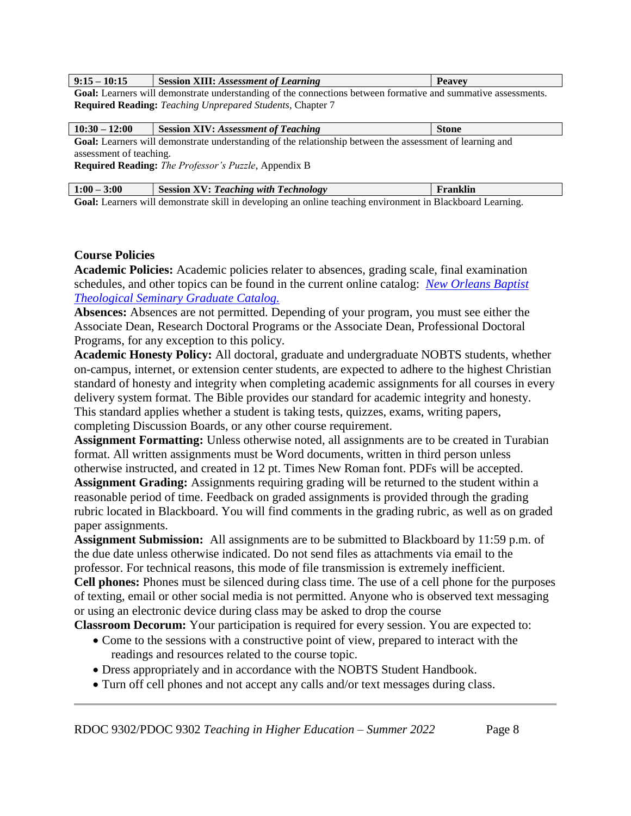| 10.1E<br>0.1<br>י-<br>1V. 15<br><b>1.10</b> | <b>XIII:</b> Assessment of Learning<br><b>Session</b> | דממים |
|---------------------------------------------|-------------------------------------------------------|-------|
|                                             | the contract of the contract of the contract of       |       |

Goal: Learners will demonstrate understanding of the connections between formative and summative assessments. **Required Reading:** *Teaching Unprepared Students,* Chapter 7

| $10:30 - 12:00$                                                                                          | <b>Session XIV: Assessment of Teaching</b> | <b>Stone</b> |
|----------------------------------------------------------------------------------------------------------|--------------------------------------------|--------------|
| Goal: Learners will demonstrate understanding of the relationship between the assessment of learning and |                                            |              |
| assessment of teaching.                                                                                  |                                            |              |
| <b>Required Reading:</b> <i>The Professor's Puzzle</i> , Appendix B                                      |                                            |              |
|                                                                                                          |                                            |              |

| $1:00 - 3:00$                                                                                              | Session XV: Teaching with Technology | Franklin |
|------------------------------------------------------------------------------------------------------------|--------------------------------------|----------|
| Goal: Learners will demonstrate skill in developing an online teaching environment in Blackboard Learning. |                                      |          |

# **Course Policies**

**Academic Policies:** Academic policies relater to absences, grading scale, final examination schedules, and other topics can be found in the current online catalog: *[New Orleans Baptist](http://www.nobts.edu/_resources/pdf/academics/GraduateCatalog.pdf)  [Theological Seminary Graduate Catalog.](http://www.nobts.edu/_resources/pdf/academics/GraduateCatalog.pdf)*

**Absences:** Absences are not permitted. Depending of your program, you must see either the Associate Dean, Research Doctoral Programs or the Associate Dean, Professional Doctoral Programs, for any exception to this policy.

**Academic Honesty Policy:** All doctoral, graduate and undergraduate NOBTS students, whether on-campus, internet, or extension center students, are expected to adhere to the highest Christian standard of honesty and integrity when completing academic assignments for all courses in every delivery system format. The Bible provides our standard for academic integrity and honesty. This standard applies whether a student is taking tests, quizzes, exams, writing papers, completing Discussion Boards, or any other course requirement.

Assignment Formatting: Unless otherwise noted, all assignments are to be created in Turabian format. All written assignments must be Word documents, written in third person unless otherwise instructed, and created in 12 pt. Times New Roman font. PDFs will be accepted. **Assignment Grading:** Assignments requiring grading will be returned to the student within a reasonable period of time. Feedback on graded assignments is provided through the grading

rubric located in Blackboard. You will find comments in the grading rubric, as well as on graded paper assignments.

**Assignment Submission:** All assignments are to be submitted to Blackboard by 11:59 p.m. of the due date unless otherwise indicated. Do not send files as attachments via email to the professor. For technical reasons, this mode of file transmission is extremely inefficient.

**Cell phones:** Phones must be silenced during class time. The use of a cell phone for the purposes of texting, email or other social media is not permitted. Anyone who is observed text messaging or using an electronic device during class may be asked to drop the course

**Classroom Decorum:** Your participation is required for every session. You are expected to:

- Come to the sessions with a constructive point of view, prepared to interact with the readings and resources related to the course topic.
- Dress appropriately and in accordance with the NOBTS Student Handbook.
- Turn off cell phones and not accept any calls and/or text messages during class.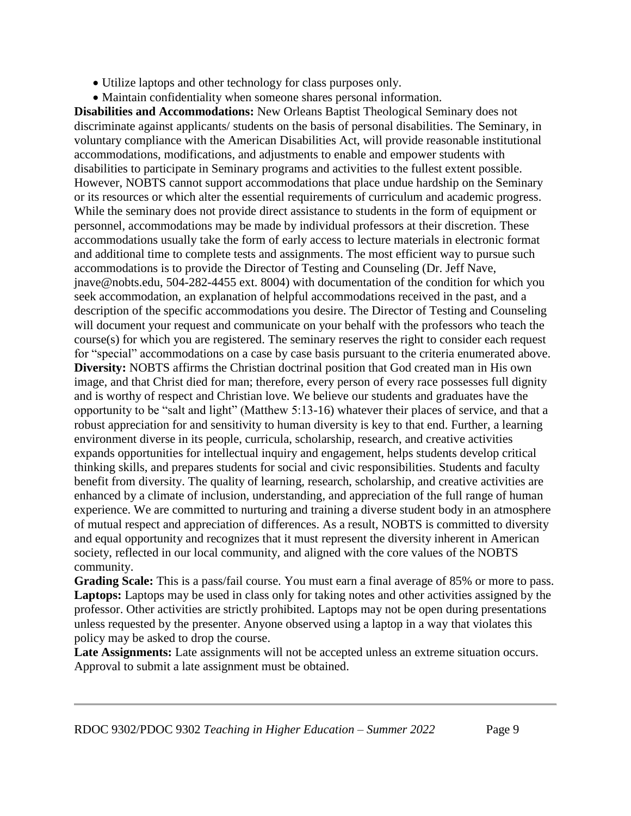- Utilize laptops and other technology for class purposes only.
- Maintain confidentiality when someone shares personal information.

**Disabilities and Accommodations:** New Orleans Baptist Theological Seminary does not discriminate against applicants/ students on the basis of personal disabilities. The Seminary, in voluntary compliance with the American Disabilities Act, will provide reasonable institutional accommodations, modifications, and adjustments to enable and empower students with disabilities to participate in Seminary programs and activities to the fullest extent possible. However, NOBTS cannot support accommodations that place undue hardship on the Seminary or its resources or which alter the essential requirements of curriculum and academic progress. While the seminary does not provide direct assistance to students in the form of equipment or personnel, accommodations may be made by individual professors at their discretion. These accommodations usually take the form of early access to lecture materials in electronic format and additional time to complete tests and assignments. The most efficient way to pursue such accommodations is to provide the Director of Testing and Counseling (Dr. Jeff Nave, jnave@nobts.edu, 504-282-4455 ext. 8004) with documentation of the condition for which you seek accommodation, an explanation of helpful accommodations received in the past, and a description of the specific accommodations you desire. The Director of Testing and Counseling will document your request and communicate on your behalf with the professors who teach the course(s) for which you are registered. The seminary reserves the right to consider each request for "special" accommodations on a case by case basis pursuant to the criteria enumerated above. **Diversity:** NOBTS affirms the Christian doctrinal position that God created man in His own image, and that Christ died for man; therefore, every person of every race possesses full dignity and is worthy of respect and Christian love. We believe our students and graduates have the opportunity to be "salt and light" (Matthew 5:13-16) whatever their places of service, and that a robust appreciation for and sensitivity to human diversity is key to that end. Further, a learning environment diverse in its people, curricula, scholarship, research, and creative activities expands opportunities for intellectual inquiry and engagement, helps students develop critical thinking skills, and prepares students for social and civic responsibilities. Students and faculty benefit from diversity. The quality of learning, research, scholarship, and creative activities are enhanced by a climate of inclusion, understanding, and appreciation of the full range of human experience. We are committed to nurturing and training a diverse student body in an atmosphere of mutual respect and appreciation of differences. As a result, NOBTS is committed to diversity and equal opportunity and recognizes that it must represent the diversity inherent in American society, reflected in our local community, and aligned with the core values of the NOBTS community.

**Grading Scale:** This is a pass/fail course. You must earn a final average of 85% or more to pass. Laptops: Laptops may be used in class only for taking notes and other activities assigned by the professor. Other activities are strictly prohibited. Laptops may not be open during presentations unless requested by the presenter. Anyone observed using a laptop in a way that violates this policy may be asked to drop the course.

Late Assignments: Late assignments will not be accepted unless an extreme situation occurs. Approval to submit a late assignment must be obtained.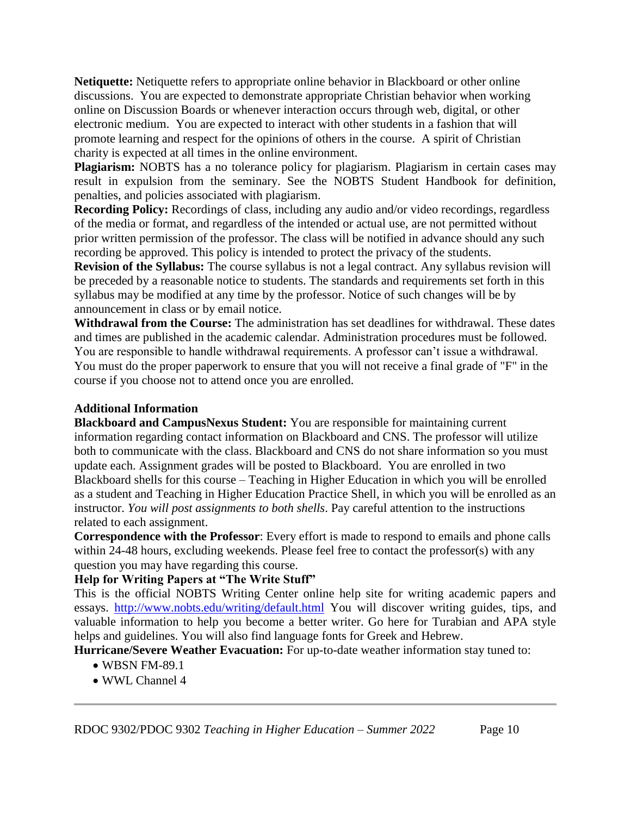**Netiquette:** Netiquette refers to appropriate online behavior in Blackboard or other online discussions. You are expected to demonstrate appropriate Christian behavior when working online on Discussion Boards or whenever interaction occurs through web, digital, or other electronic medium. You are expected to interact with other students in a fashion that will promote learning and respect for the opinions of others in the course. A spirit of Christian charity is expected at all times in the online environment.

**Plagiarism:** NOBTS has a no tolerance policy for plagiarism. Plagiarism in certain cases may result in expulsion from the seminary. See the NOBTS Student Handbook for definition, penalties, and policies associated with plagiarism.

**Recording Policy:** Recordings of class, including any audio and/or video recordings, regardless of the media or format, and regardless of the intended or actual use, are not permitted without prior written permission of the professor. The class will be notified in advance should any such recording be approved. This policy is intended to protect the privacy of the students.

**Revision of the Syllabus:** The course syllabus is not a legal contract. Any syllabus revision will be preceded by a reasonable notice to students. The standards and requirements set forth in this syllabus may be modified at any time by the professor. Notice of such changes will be by announcement in class or by email notice.

**Withdrawal from the Course:** The administration has set deadlines for withdrawal. These dates and times are published in the academic calendar. Administration procedures must be followed. You are responsible to handle withdrawal requirements. A professor can't issue a withdrawal. You must do the proper paperwork to ensure that you will not receive a final grade of "F" in the course if you choose not to attend once you are enrolled.

# **Additional Information**

**Blackboard and CampusNexus Student:** You are responsible for maintaining current information regarding contact information on Blackboard and CNS. The professor will utilize both to communicate with the class. Blackboard and CNS do not share information so you must update each. Assignment grades will be posted to Blackboard. You are enrolled in two Blackboard shells for this course – Teaching in Higher Education in which you will be enrolled as a student and Teaching in Higher Education Practice Shell, in which you will be enrolled as an instructor. *You will post assignments to both shells*. Pay careful attention to the instructions related to each assignment.

**Correspondence with the Professor**: Every effort is made to respond to emails and phone calls within 24-48 hours, excluding weekends. Please feel free to contact the professor(s) with any question you may have regarding this course.

# **Help for Writing Papers at "The Write Stuff"**

This is the official NOBTS Writing Center online help site for writing academic papers and essays. <http://www.nobts.edu/writing/default.html> You will discover writing guides, tips, and valuable information to help you become a better writer. Go here for Turabian and APA style helps and guidelines. You will also find language fonts for Greek and Hebrew.

**Hurricane/Severe Weather Evacuation:** For up-to-date weather information stay tuned to:

- WBSN FM-89.1
- WWL Channel 4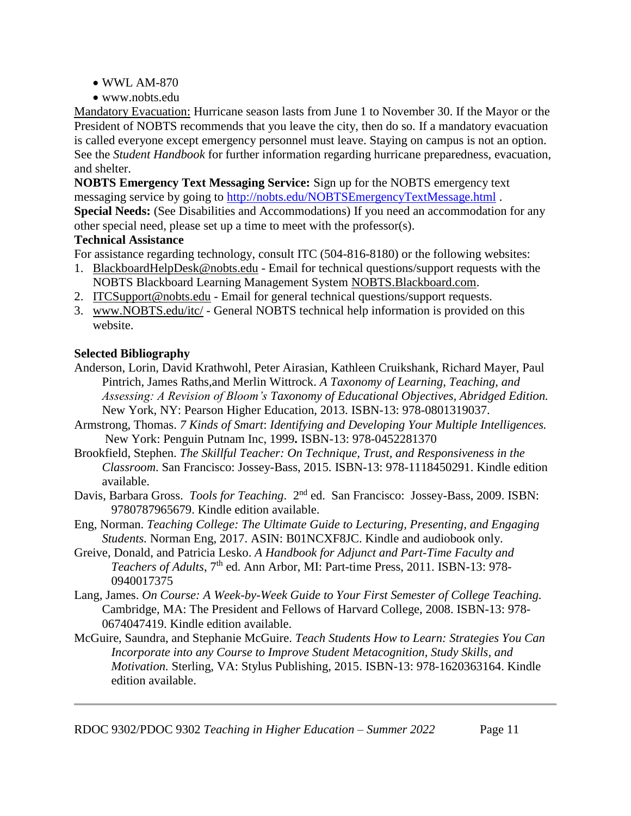- WWL AM-870
- www.nobts.edu

Mandatory Evacuation: Hurricane season lasts from June 1 to November 30. If the Mayor or the President of NOBTS recommends that you leave the city, then do so. If a mandatory evacuation is called everyone except emergency personnel must leave. Staying on campus is not an option. See the *Student Handbook* for further information regarding hurricane preparedness, evacuation, and shelter.

**NOBTS Emergency Text Messaging Service:** Sign up for the NOBTS emergency text messaging service by going to<http://nobts.edu/NOBTSEmergencyTextMessage.html> .

**Special Needs:** (See Disabilities and Accommodations) If you need an accommodation for any other special need, please set up a time to meet with the professor(s).

### **Technical Assistance**

For assistance regarding technology, consult ITC (504-816-8180) or the following websites:

- 1. BlackboardHelpDesk@nobts.edu Email for technical questions/support requests with the NOBTS Blackboard Learning Management System NOBTS.Blackboard.com.
- 2. ITCSupport@nobts.edu Email for general technical questions/support requests.
- 3. www.NOBTS.edu/itc/ General NOBTS technical help information is provided on this website.

# **Selected Bibliography**

- Anderson, Lorin, David Krathwohl, Peter Airasian, Kathleen Cruikshank, Richard Mayer, Paul Pintrich, James Raths,and Merlin Wittrock. *A Taxonomy of Learning, Teaching, and Assessing: A Revision of Bloom's Taxonomy of Educational Objectives, Abridged Edition.*  New York, NY: Pearson Higher Education, 2013. ISBN-13: 978-0801319037.
- Armstrong, Thomas. *7 Kinds of Smart*: *Identifying and Developing Your Multiple Intelligences.* New York: Penguin Putnam Inc, 1999**.** ISBN-13: 978-0452281370
- Brookfield, Stephen. *The Skillful Teacher: On Technique, Trust, and Responsiveness in the Classroom*. San Francisco: Jossey-Bass, 2015. ISBN-13: 978-1118450291. Kindle edition available.
- Davis, Barbara Gross. *Tools for Teaching.* 2<sup>nd</sup> ed. San Francisco: Jossey-Bass, 2009. ISBN: 9780787965679. Kindle edition available.
- Eng, Norman. *Teaching College: The Ultimate Guide to Lecturing, Presenting, and Engaging Students.* Norman Eng, 2017. ASIN: B01NCXF8JC. Kindle and audiobook only.
- Greive, Donald, and Patricia Lesko. *A Handbook for Adjunct and Part-Time Faculty and Teachers of Adults*, 7th ed. Ann Arbor, MI: Part-time Press, 2011. ISBN-13: 978- 0940017375
- Lang, James. *On Course: A Week-by-Week Guide to Your First Semester of College Teaching.*  Cambridge, MA: The President and Fellows of Harvard College, 2008. ISBN-13: 978- 0674047419. Kindle edition available.
- McGuire, Saundra, and Stephanie McGuire. *Teach Students How to Learn: Strategies You Can Incorporate into any Course to Improve Student Metacognition, Study Skills, and Motivation.* Sterling, VA: Stylus Publishing, 2015. ISBN-13: 978-1620363164. Kindle edition available.